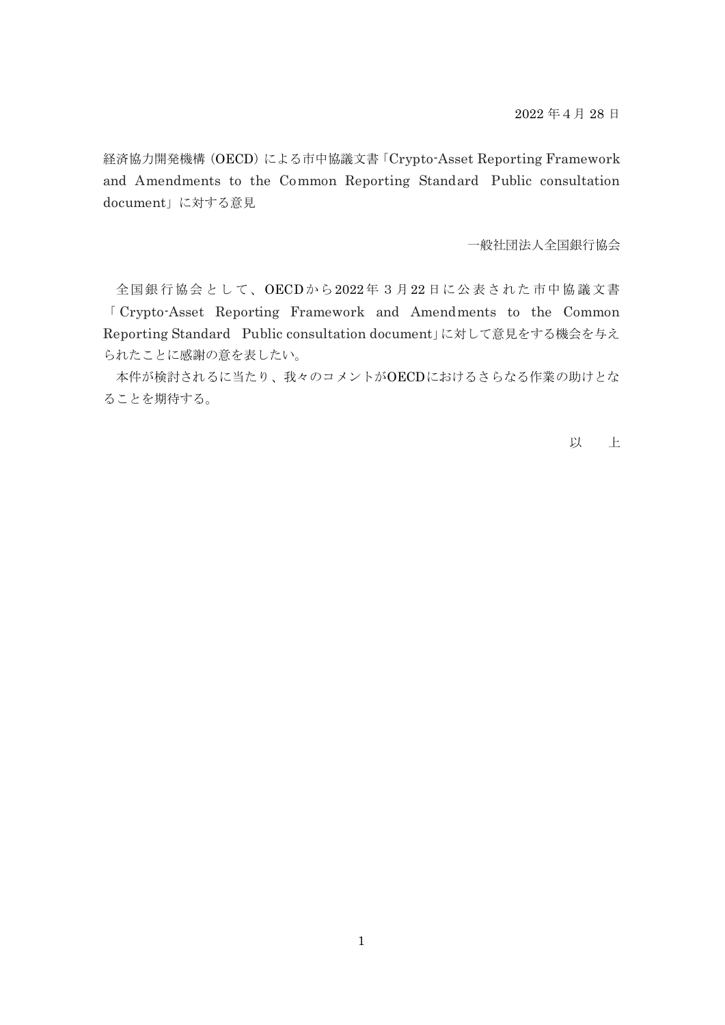経済協力開発機構 (OECD) による市中協議文書「Crypto-Asset Reporting Framework and Amendments to the Common Reporting Standard Public consultation document」に対する意見

一般社団法人全国銀行協会

全国銀行協会として、OECDから2022年 3月22 日に公表された市中協議文書 「 Crypto-Asset Reporting Framework and Amendments to the Common Reporting Standard Public consultation document」に対して意見をする機会を与え られたことに感謝の意を表したい。

本件が検討されるに当たり、我々のコメントがOECDにおけるさらなる作業の助けとな ることを期待する。

以 上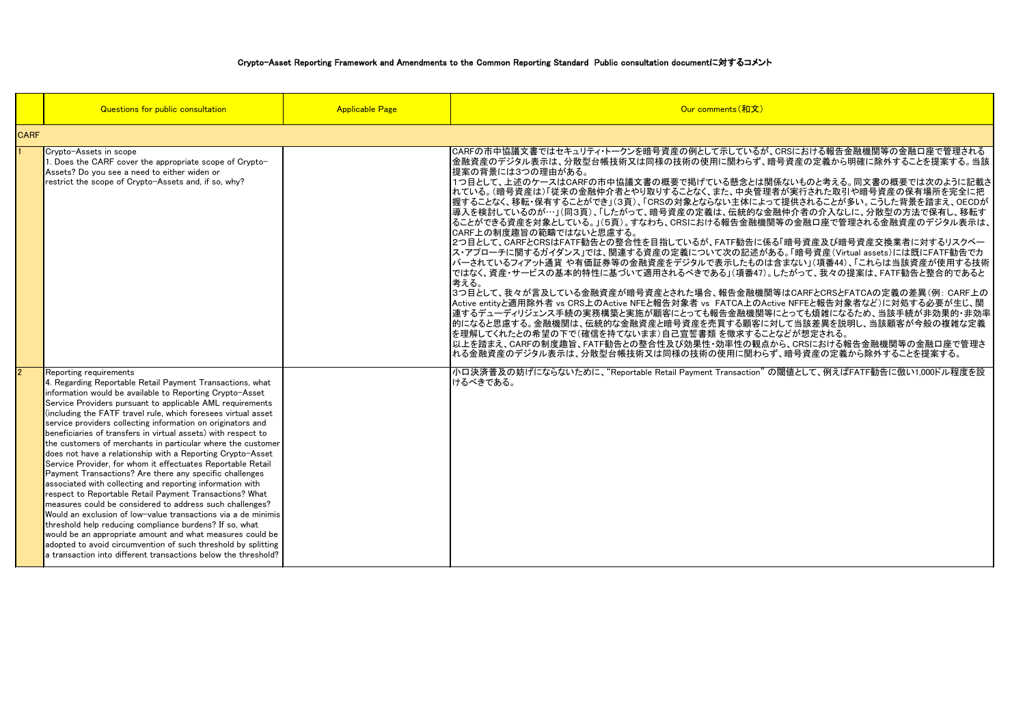カ告に係る「暗号資産及び暗号資産交換業者に対するリスクベー 記述がある。「暗号資産(Virtual assets)には既にFATF勧告でカ たものは含まない」(項番44)、「これらは当該資産が使用する技術 ではなく、資産・サービスの基本的特性に基づいて適用されるべきである」(項番47)。したがって、我々の提案は、FATF勧告と整合的であると

|             | Questions for public consultation                                                                                                                                                                                                                                                                                                                                                                                                                                                                                                                                                                                                                                                                                                                                                                                                                                                                                                                                                                                                                                                                                                                                                    | <b>Applicable Page</b> | Our comments (和文)                                                                                                                                                                                                                                                                                                                                                                                                                                                                                                                                                                                                                                                                                                                                                                                                                                                               |  |  |  |  |  |
|-------------|--------------------------------------------------------------------------------------------------------------------------------------------------------------------------------------------------------------------------------------------------------------------------------------------------------------------------------------------------------------------------------------------------------------------------------------------------------------------------------------------------------------------------------------------------------------------------------------------------------------------------------------------------------------------------------------------------------------------------------------------------------------------------------------------------------------------------------------------------------------------------------------------------------------------------------------------------------------------------------------------------------------------------------------------------------------------------------------------------------------------------------------------------------------------------------------|------------------------|---------------------------------------------------------------------------------------------------------------------------------------------------------------------------------------------------------------------------------------------------------------------------------------------------------------------------------------------------------------------------------------------------------------------------------------------------------------------------------------------------------------------------------------------------------------------------------------------------------------------------------------------------------------------------------------------------------------------------------------------------------------------------------------------------------------------------------------------------------------------------------|--|--|--|--|--|
| <b>CARF</b> |                                                                                                                                                                                                                                                                                                                                                                                                                                                                                                                                                                                                                                                                                                                                                                                                                                                                                                                                                                                                                                                                                                                                                                                      |                        |                                                                                                                                                                                                                                                                                                                                                                                                                                                                                                                                                                                                                                                                                                                                                                                                                                                                                 |  |  |  |  |  |
|             | Crypto-Assets in scope<br>1. Does the CARF cover the appropriate scope of Crypto-<br>Assets? Do you see a need to either widen or<br>restrict the scope of Crypto-Assets and, if so, why?                                                                                                                                                                                                                                                                                                                                                                                                                                                                                                                                                                                                                                                                                                                                                                                                                                                                                                                                                                                            |                        | CARFの市中協議文書ではセキュリティ・トークンを暗号資産の例として示しているノ<br> 金融資産のデジタル表示は、分散型台帳技術又は同様の技術の使用に関わらず.<br> 提案の背景には3つの理由がある。<br>1つ目として、上述のケースはCARFの市中協議文書の概要で掲げている懸念とは<br> れている。(暗号資産は)「従来の金融仲介者とやり取りすることなく、また、中央管<br> 握することなく、移転・保有することができ」(3頁)、「CRSの対象とならない主体によ<br> 導入を検討しているのが…」(同3頁)、「したがって、暗号資産の定義は、伝統的な<br> ることができる資産を対象としている。」(5頁)。すなわち、CRSにおける報告金融機<br> CARF上の制度趣旨の範疇ではないと思慮する。<br> 2つ目として、CARFとCRSはFATF勧告との整合性を目指しているが、FATF勧告に<br>ス・アプローチに関するガイダンス」では、関連する資産の定義について次の記述た<br> バーされているフィアット通貨 や有価証券等の金融資産をデジタルで表示したもの<br> ではなく、資産・サービスの基本的特性に基づいて適用されるべきである」(項番47<br>考える。<br> 3つ目として、我々が言及している金融資産が暗号資産とされた場合、報告金融機<br>Active entityと適用除外者 vs CRS上のActive NFEと報告対象者 vs FATCA上の<br>違するデューディリジェンス手続の実務構築と実施が顧客にとっても報告金融機関<br> 的になると思慮する。金融機関は、伝統的な金融資産と暗号資産を売買する顧客 <br>を理解してくれたとの希望の下で(確信を持てないまま)自己宣誓書類 を徴求する。<br>以上を踏まえ、CARFの制度趣旨、FATF勧告との整合性及び効果性・効率性の観<br>れる金融資産のデジタル表示は、分散型台帳技術又は同様の技術の使用に関わ |  |  |  |  |  |
| <u> 2</u>   | Reporting requirements<br>4. Regarding Reportable Retail Payment Transactions, what<br>information would be available to Reporting Crypto-Asset<br>Service Providers pursuant to applicable AML requirements<br>(including the FATF travel rule, which foresees virtual asset<br>service providers collecting information on originators and<br>beneficiaries of transfers in virtual assets) with respect to<br>the customers of merchants in particular where the customer<br>does not have a relationship with a Reporting Crypto-Asset<br>Service Provider, for whom it effectuates Reportable Retail<br>Payment Transactions? Are there any specific challenges<br>associated with collecting and reporting information with<br>respect to Reportable Retail Payment Transactions? What<br>measures could be considered to address such challenges?<br>Would an exclusion of low-value transactions via a de minimis<br>threshold help reducing compliance burdens? If so, what<br>would be an appropriate amount and what measures could be<br>adopted to avoid circumvention of such threshold by splitting<br>a transaction into different transactions below the threshold? |                        | 小口決済普及の妨げにならないために、"Reportable Retail Payment Transaction"<br>けるべきである。                                                                                                                                                                                                                                                                                                                                                                                                                                                                                                                                                                                                                                                                                                                                                                                                           |  |  |  |  |  |

3つ目として、我々が言及している金融資産が暗号資産とされた場合、報告金融機関等はCARFとCRSとFATCAの定義の差異(例: CARF上の A上のActive NFFEと報告対象者など)に対処する必要が生じ、関 融機関等にとっても煩雑になるため、当該手続が非効果的・非効率 5顧客に対して当該差異を説明し、当該顧客が今般の複雑な定義 たすることなどが想定される。

 $E$ の観点から、CRSにおける報告金融機関等の金融口座で管理さ <mark>.関わらず、暗号資産の定義から除外することを提案する。</mark>

rction"の閾値として、例えばFATF勧告に倣い1,000ドル程度を設

Cいるが、CRSにおける報告金融機関等の金融口座で管理される っらず、暗号資産の定義から明確に除外することを提案する。当該

念とは関係ないものと考える。同文書の概要では次のように記載さ !央管理者が実行された取引や暗号資産の保有場所を完全に把 体によって提供されることが多い。こうした背景を踏まえ、OECDが 流的な金融仲介者の介入なしに、分散型の方法で保有し、移転す 金融機関等の金融口座で管理される金融資産のデジタル表示は、

## Crypto-Asset Reporting Framework and Amendments to the Common Reporting Standard Public consultation documentに対するコメント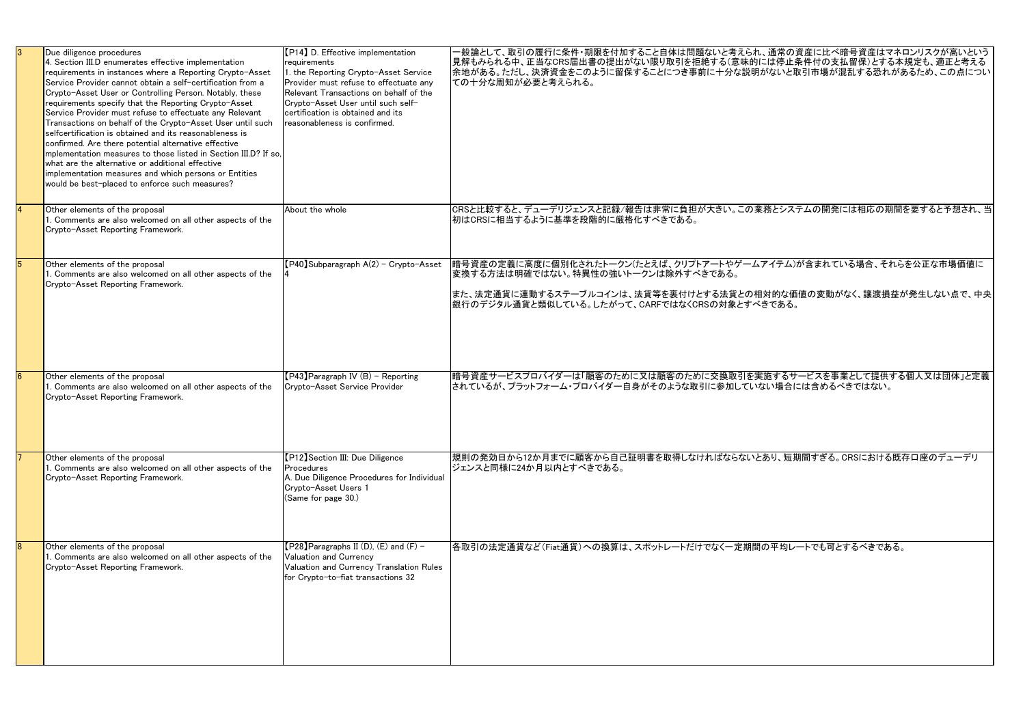| Due diligence procedures<br>4. Section III.D enumerates effective implementation<br>requirements in instances where a Reporting Crypto-Asset<br>lService Provider cannot obtain a self-certification from a<br>Crypto-Asset User or Controlling Person. Notably, these<br>requirements specify that the Reporting Crypto-Asset<br>Service Provider must refuse to effectuate any Relevant<br>Transactions on behalf of the Crypto-Asset User until such<br>selfcertification is obtained and its reasonableness is<br>confirmed. Are there potential alternative effective<br>Implementation measures to those listed in Section III.D? If so.<br>what are the alternative or additional effective<br>implementation measures and which persons or Entities<br>would be best-placed to enforce such measures? | [P14] D. Effective implementation<br>requirements<br>1. the Reporting Crypto-Asset Service<br>Provider must refuse to effectuate any<br>Relevant Transactions on behalf of the<br>Crypto-Asset User until such self-<br>certification is obtained and its<br>reasonableness is confirmed. | -般論として、取引の履行に条件・期限を付加すること自体は問題ないと考えられ、通常の資産に比べ暗号資産はマネロンリスクが高いという<br>見解もみられる中、正当なCRS届出書の提出がない限り取引を拒絶する(意味的には停止条件付の支払留保)とする本規定も、適正と考える<br> 余地がある。ただし、決済資金をこのように留保することにつき事前に十分な説明がないと取引市場が混乱する恐れがあるため、この点につい<br>ての十分な周知が必要と考えられる。  |
|---------------------------------------------------------------------------------------------------------------------------------------------------------------------------------------------------------------------------------------------------------------------------------------------------------------------------------------------------------------------------------------------------------------------------------------------------------------------------------------------------------------------------------------------------------------------------------------------------------------------------------------------------------------------------------------------------------------------------------------------------------------------------------------------------------------|-------------------------------------------------------------------------------------------------------------------------------------------------------------------------------------------------------------------------------------------------------------------------------------------|---------------------------------------------------------------------------------------------------------------------------------------------------------------------------------------------------------------------------------|
| Other elements of the proposal<br>$\vert$ 1. Comments are also welcomed on all other aspects of the<br>Crypto-Asset Reporting Framework.                                                                                                                                                                                                                                                                                                                                                                                                                                                                                                                                                                                                                                                                      | About the whole                                                                                                                                                                                                                                                                           | CRSと比較すると、デューデリジェンスと記録/報告は非常に負担が大きい。この業務とシステムの開発には相応の期間を要すると予想され、当<br> 初はCRSに相当するように基準を段階的に厳格化すべきである。                                                                                                                           |
| Other elements of the proposal<br>$\vert$ 1. Comments are also welcomed on all other aspects of the<br>Crypto-Asset Reporting Framework.                                                                                                                                                                                                                                                                                                                                                                                                                                                                                                                                                                                                                                                                      | $[P40]$ Subparagraph A $(2)$ - Crypto-Asset                                                                                                                                                                                                                                               | 暗号資産の定義に高度に個別化されたトークン(たとえば、クリプトアートやゲームアイテム)が含まれている場合、それらを公正な市場価値に<br> 変換する方法は明確ではない。特異性の強いトークンは除外すべきである。<br> また、法定通貨に連動するステーブルコインは、法貨等を裏付けとする法貨との相対的な価値の変動がなく、譲渡損益が発生しない点で、中央<br> 銀行のデジタル通貨と類似している。したがって、CARFではなくCRSの対象とすべきである。 |
| Other elements of the proposal<br>1. Comments are also welcomed on all other aspects of the<br>Crypto-Asset Reporting Framework.                                                                                                                                                                                                                                                                                                                                                                                                                                                                                                                                                                                                                                                                              | $[P43]$ Paragraph IV (B) - Reporting<br>Crypto-Asset Service Provider                                                                                                                                                                                                                     | 暗号資産サービスプロバイダーは「顧客のために又は顧客のために交換取引を実施するサービスを事業として提供する個人又は団体」と定義<br> されているが、プラットフォーム・プロバイダー自身がそのような取引に参加していない場合には含めるべきではない。                                                                                                      |
| Other elements of the proposal<br>1. Comments are also welcomed on all other aspects of the<br>Crypto-Asset Reporting Framework.                                                                                                                                                                                                                                                                                                                                                                                                                                                                                                                                                                                                                                                                              | [P12] Section III: Due Diligence<br>Procedures<br>A. Due Diligence Procedures for Individual<br>Crypto-Asset Users 1<br>(Same for page 30.)                                                                                                                                               | 規則の発効日から12か月までに顧客から自己証明書を取得しなければならないとあり、短期間すぎる。CRSにおける既存口座のデューデリ<br> ジェンスと同様に24か月以内とすべきである。                                                                                                                                     |
| Other elements of the proposal<br>1. Comments are also welcomed on all other aspects of the<br>Crypto-Asset Reporting Framework.                                                                                                                                                                                                                                                                                                                                                                                                                                                                                                                                                                                                                                                                              | $[P28]$ Paragraphs II (D), (E) and (F) -<br><b>Valuation and Currency</b><br>Valuation and Currency Translation Rules<br>for Crypto-to-fiat transactions 32                                                                                                                               | 各取引の法定通貨など(Fiat通貨)への換算は、スポットレートだけでなく一定期間の平均レートでも可とするべきである。                                                                                                                                                                      |